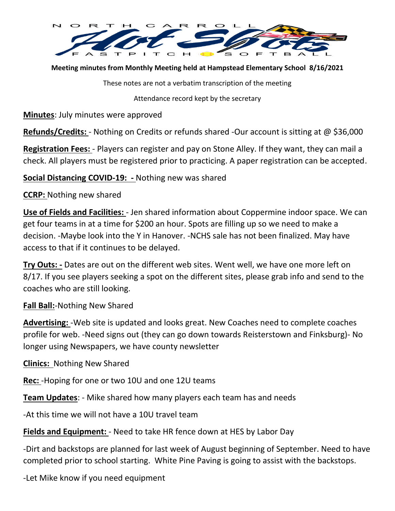

**Meeting minutes from Monthly Meeting held at Hampstead Elementary School 8/16/2021**

These notes are not a verbatim transcription of the meeting

Attendance record kept by the secretary

**Minutes**: July minutes were approved

**Refunds/Credits:** - Nothing on Credits or refunds shared -Our account is sitting at @ \$36,000

**Registration Fees:** - Players can register and pay on Stone Alley. If they want, they can mail a check. All players must be registered prior to practicing. A paper registration can be accepted.

**Social Distancing COVID-19: -** Nothing new was shared

**CCRP:** Nothing new shared

**Use of Fields and Facilities:** - Jen shared information about Coppermine indoor space. We can get four teams in at a time for \$200 an hour. Spots are filling up so we need to make a decision. -Maybe look into the Y in Hanover. -NCHS sale has not been finalized. May have access to that if it continues to be delayed.

**Try Outs: -** Dates are out on the different web sites. Went well, we have one more left on 8/17. If you see players seeking a spot on the different sites, please grab info and send to the coaches who are still looking.

**Fall Ball:**-Nothing New Shared

**Advertising:** -Web site is updated and looks great. New Coaches need to complete coaches profile for web. -Need signs out (they can go down towards Reisterstown and Finksburg)- No longer using Newspapers, we have county newsletter

**Clinics:** Nothing New Shared

**Rec:** -Hoping for one or two 10U and one 12U teams

**Team Updates**: - Mike shared how many players each team has and needs

-At this time we will not have a 10U travel team

**Fields and Equipment:** - Need to take HR fence down at HES by Labor Day

-Dirt and backstops are planned for last week of August beginning of September. Need to have completed prior to school starting. White Pine Paving is going to assist with the backstops.

-Let Mike know if you need equipment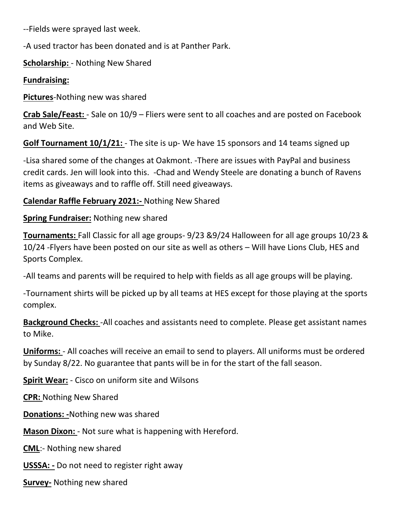--Fields were sprayed last week.

-A used tractor has been donated and is at Panther Park.

**Scholarship:** - Nothing New Shared

## **Fundraising:**

**Pictures**-Nothing new was shared

**Crab Sale/Feast:** - Sale on 10/9 – Fliers were sent to all coaches and are posted on Facebook and Web Site.

**Golf Tournament 10/1/21:** - The site is up- We have 15 sponsors and 14 teams signed up

-Lisa shared some of the changes at Oakmont. -There are issues with PayPal and business credit cards. Jen will look into this. -Chad and Wendy Steele are donating a bunch of Ravens items as giveaways and to raffle off. Still need giveaways.

## **Calendar Raffle February 2021:-** Nothing New Shared

## **Spring Fundraiser:** Nothing new shared

**Tournaments:** Fall Classic for all age groups- 9/23 &9/24 Halloween for all age groups 10/23 & 10/24 -Flyers have been posted on our site as well as others – Will have Lions Club, HES and Sports Complex.

-All teams and parents will be required to help with fields as all age groups will be playing.

-Tournament shirts will be picked up by all teams at HES except for those playing at the sports complex.

**Background Checks:** -All coaches and assistants need to complete. Please get assistant names to Mike.

**Uniforms:** - All coaches will receive an email to send to players. All uniforms must be ordered by Sunday 8/22. No guarantee that pants will be in for the start of the fall season.

**Spirit Wear:** - Cisco on uniform site and Wilsons

**CPR:** Nothing New Shared

**Donations: -**Nothing new was shared

**Mason Dixon:** - Not sure what is happening with Hereford.

**CML**:- Nothing new shared

**USSSA: -** Do not need to register right away

**Survey-** Nothing new shared